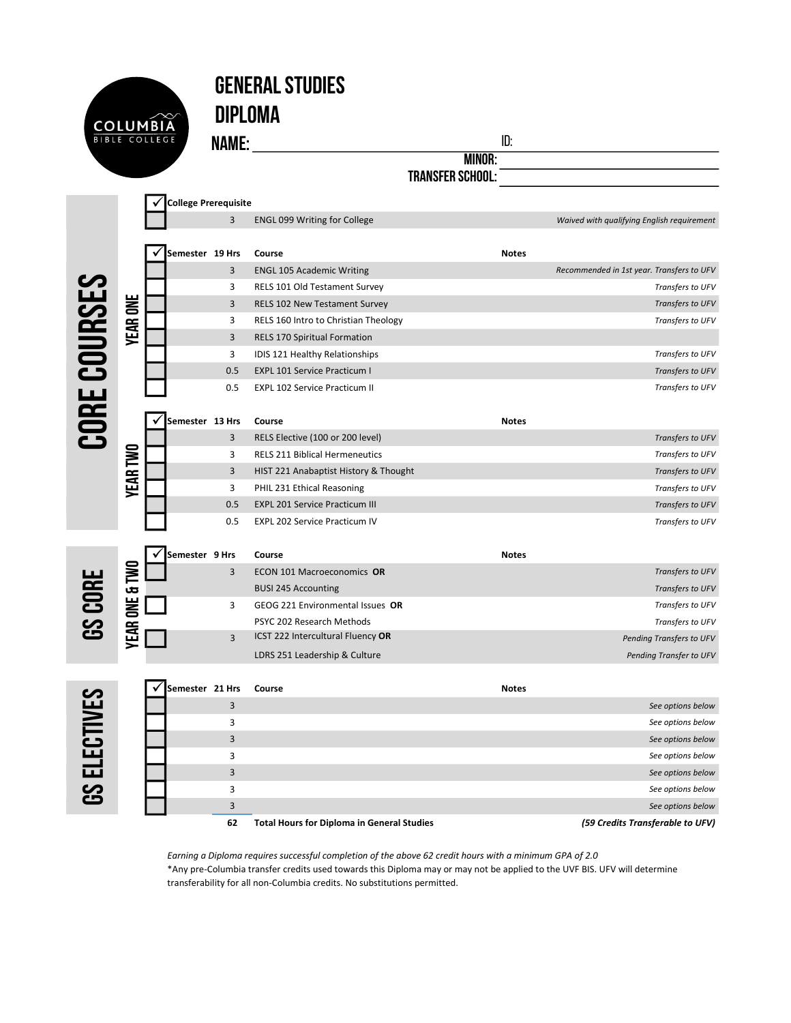| <b>COLUMBIA</b>      |  |
|----------------------|--|
| <b>BIBLE COLLEGE</b> |  |
|                      |  |

## General Studies

Diploma

**NAME:** ID:

Minor:

Transfer School:

|                     |                 | <b>College Prerequisite</b> |                |                                       |              |                                            |
|---------------------|-----------------|-----------------------------|----------------|---------------------------------------|--------------|--------------------------------------------|
|                     |                 |                             | $\overline{3}$ | <b>ENGL 099 Writing for College</b>   |              | Waived with qualifying English requirement |
|                     |                 | Semester 19 Hrs             |                | Course                                | <b>Notes</b> |                                            |
|                     |                 |                             | 3              | <b>ENGL 105 Academic Writing</b>      |              | Recommended in 1st year. Transfers to UFV  |
|                     |                 |                             | 3              | RELS 101 Old Testament Survey         |              | Transfers to UFV                           |
|                     |                 |                             | 3              | RELS 102 New Testament Survey         |              | Transfers to UFV                           |
|                     |                 |                             | 3              | RELS 160 Intro to Christian Theology  |              | Transfers to UFV                           |
|                     | <b>YEAR ONE</b> |                             | $\overline{3}$ | <b>RELS 170 Spiritual Formation</b>   |              |                                            |
|                     |                 |                             | 3              | IDIS 121 Healthy Relationships        |              | Transfers to UFV                           |
|                     |                 |                             | 0.5            | <b>EXPL 101 Service Practicum I</b>   |              | Transfers to UFV                           |
|                     |                 |                             | 0.5            | <b>EXPL 102 Service Practicum II</b>  |              | Transfers to UFV                           |
| CORE COURSES        |                 | Semester 13 Hrs             |                | Course                                | <b>Notes</b> |                                            |
|                     |                 |                             | 3              | RELS Elective (100 or 200 level)      |              | Transfers to UFV                           |
|                     |                 |                             | 3              | <b>RELS 211 Biblical Hermeneutics</b> |              | Transfers to UFV                           |
|                     |                 |                             | 3              | HIST 221 Anabaptist History & Thought |              | Transfers to UFV                           |
|                     | <b>YEAR TWO</b> |                             | 3              | PHIL 231 Ethical Reasoning            |              | Transfers to UFV                           |
|                     |                 |                             | 0.5            | <b>EXPL 201 Service Practicum III</b> |              | Transfers to UFV                           |
|                     |                 |                             | 0.5            | <b>EXPL 202 Service Practicum IV</b>  |              | Transfers to UFV                           |
|                     |                 | Semester 9 Hrs              |                | Course                                | <b>Notes</b> |                                            |
|                     |                 |                             | 3              | ECON 101 Macroeconomics OR            |              | Transfers to UFV                           |
|                     |                 |                             |                | <b>BUSI 245 Accounting</b>            |              | Transfers to UFV                           |
| <b>GS CORE</b>      |                 |                             | 3              | GEOG 221 Environmental Issues OR      |              | Transfers to UFV                           |
|                     |                 |                             |                | PSYC 202 Research Methods             |              | Transfers to UFV                           |
|                     | YEAR ONE & TWO  |                             | $\overline{3}$ | ICST 222 Intercultural Fluency OR     |              | Pending Transfers to UFV                   |
|                     |                 |                             |                | LDRS 251 Leadership & Culture         |              | Pending Transfer to UFV                    |
|                     |                 | Semester 21 Hrs             |                | Course                                | <b>Notes</b> |                                            |
|                     |                 |                             | 3              |                                       |              | See options below                          |
|                     |                 |                             | 3              |                                       |              | See options below                          |
|                     |                 |                             | $\overline{3}$ |                                       |              | See options below                          |
| <b>GS ELECTIVES</b> |                 |                             | 3              |                                       |              | See options below                          |
|                     |                 |                             | 3              |                                       |              | See options below                          |
|                     |                 |                             | 3              |                                       |              | See options below                          |
|                     |                 |                             |                |                                       |              |                                            |

**USEL** 

| Semester 21 Hrs |              | Course                                            | <b>Notes</b> |                                  |
|-----------------|--------------|---------------------------------------------------|--------------|----------------------------------|
|                 | 3            |                                                   |              | See options below                |
|                 | 3            |                                                   |              | See options below                |
|                 | 3            |                                                   |              | See options below                |
|                 | 3            |                                                   |              | See options below                |
|                 | 3            |                                                   |              | See options below                |
|                 | 3            |                                                   |              | See options below                |
|                 | $\mathbf{a}$ |                                                   |              | See options below                |
|                 | 62           | <b>Total Hours for Diploma in General Studies</b> |              | (59 Credits Transferable to UFV) |

Earning a Diploma requires successful completion of the above 62 credit hours with a minimum GPA of 2.0 \*Any pre-Columbia transfer credits used towards this Diploma may or may not be applied to the UVF BIS. UFV will determine transferability for all non-Columbia credits. No substitutions permitted.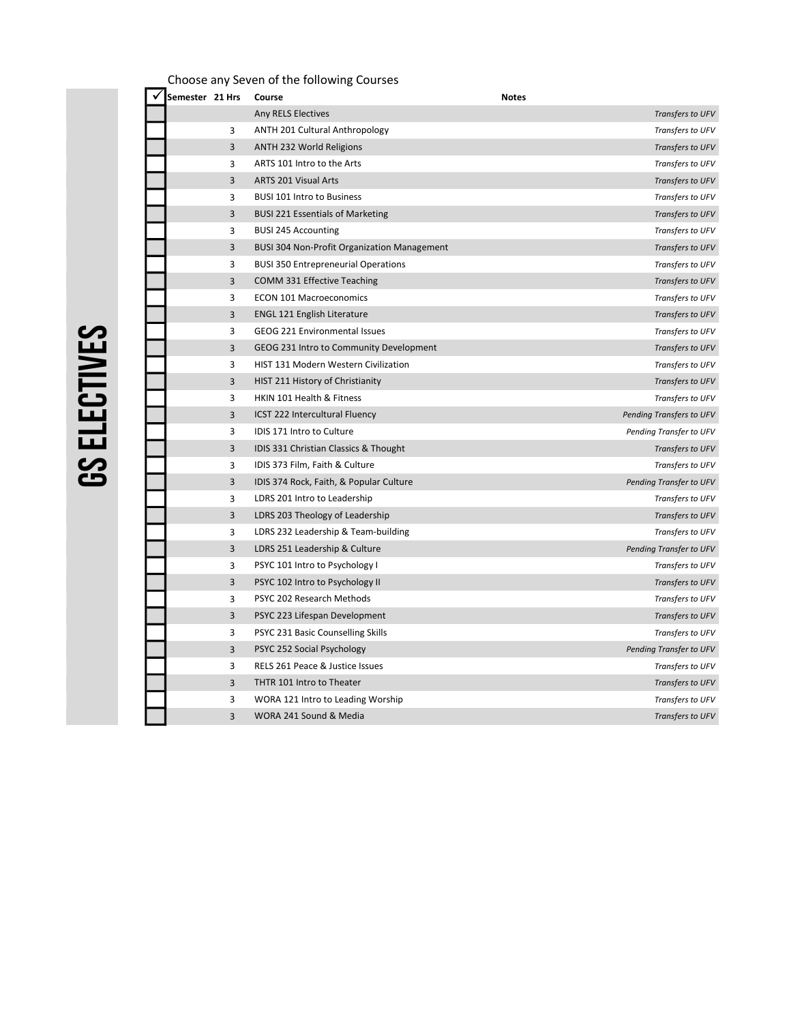| Choose any Seven of the following Courses |                                                    |              |                          |  |  |
|-------------------------------------------|----------------------------------------------------|--------------|--------------------------|--|--|
| Semester 21 Hrs                           | Course                                             | <b>Notes</b> |                          |  |  |
|                                           | Any RELS Electives                                 |              | Transfers to UFV         |  |  |
| 3                                         | ANTH 201 Cultural Anthropology                     |              | Transfers to UFV         |  |  |
| 3                                         | ANTH 232 World Religions                           |              | Transfers to UFV         |  |  |
| 3                                         | ARTS 101 Intro to the Arts                         |              | Transfers to UFV         |  |  |
| 3                                         | ARTS 201 Visual Arts                               |              | Transfers to UFV         |  |  |
| 3                                         | <b>BUSI 101 Intro to Business</b>                  |              | Transfers to UFV         |  |  |
| 3                                         | <b>BUSI 221 Essentials of Marketing</b>            |              | Transfers to UFV         |  |  |
| 3                                         | <b>BUSI 245 Accounting</b>                         |              | Transfers to UFV         |  |  |
| 3                                         | <b>BUSI 304 Non-Profit Organization Management</b> |              | Transfers to UFV         |  |  |
| 3                                         | <b>BUSI 350 Entrepreneurial Operations</b>         |              | Transfers to UFV         |  |  |
| 3                                         | COMM 331 Effective Teaching                        |              | Transfers to UFV         |  |  |
| 3                                         | <b>ECON 101 Macroeconomics</b>                     |              | Transfers to UFV         |  |  |
| 3                                         | <b>ENGL 121 English Literature</b>                 |              | Transfers to UFV         |  |  |
| 3                                         | GEOG 221 Environmental Issues                      |              | Transfers to UFV         |  |  |
| 3                                         | GEOG 231 Intro to Community Development            |              | Transfers to UFV         |  |  |
| 3                                         | HIST 131 Modern Western Civilization               |              | Transfers to UFV         |  |  |
| 3                                         | HIST 211 History of Christianity                   |              | Transfers to UFV         |  |  |
| 3                                         | HKIN 101 Health & Fitness                          |              | Transfers to UFV         |  |  |
| 3                                         | ICST 222 Intercultural Fluency                     |              | Pending Transfers to UFV |  |  |
| 3                                         | IDIS 171 Intro to Culture                          |              | Pending Transfer to UFV  |  |  |
| 3                                         | IDIS 331 Christian Classics & Thought              |              | Transfers to UFV         |  |  |
| 3                                         | IDIS 373 Film, Faith & Culture                     |              | Transfers to UFV         |  |  |
| 3                                         | IDIS 374 Rock, Faith, & Popular Culture            |              | Pending Transfer to UFV  |  |  |
| 3                                         | LDRS 201 Intro to Leadership                       |              | Transfers to UFV         |  |  |
| 3                                         | LDRS 203 Theology of Leadership                    |              | Transfers to UFV         |  |  |
| 3                                         | LDRS 232 Leadership & Team-building                |              | Transfers to UFV         |  |  |
| 3                                         | LDRS 251 Leadership & Culture                      |              | Pending Transfer to UFV  |  |  |
| 3                                         | PSYC 101 Intro to Psychology I                     |              | Transfers to UFV         |  |  |
| 3                                         | PSYC 102 Intro to Psychology II                    |              | Transfers to UFV         |  |  |
| 3                                         | PSYC 202 Research Methods                          |              | Transfers to UFV         |  |  |
| 3                                         | PSYC 223 Lifespan Development                      |              | Transfers to UFV         |  |  |
| 3                                         | PSYC 231 Basic Counselling Skills                  |              | Transfers to UFV         |  |  |
| 3                                         | PSYC 252 Social Psychology                         |              | Pending Transfer to UFV  |  |  |
| 3                                         | RELS 261 Peace & Justice Issues                    |              | Transfers to UFV         |  |  |
| 3                                         | THTR 101 Intro to Theater                          |              | Transfers to UFV         |  |  |
| 3                                         | WORA 121 Intro to Leading Worship                  |              | Transfers to UFV         |  |  |
| 3                                         | WORA 241 Sound & Media                             |              | Transfers to UFV         |  |  |

## **GS ELECTIVES** GS Electives